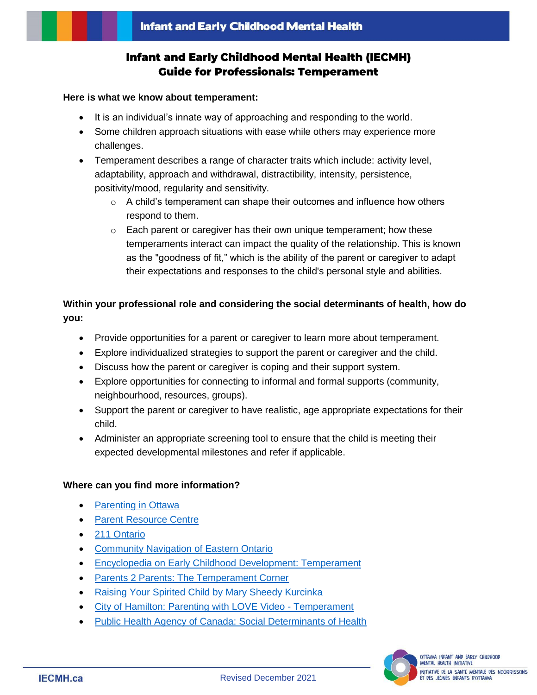# **Infant and Early Childhood Mental Health (IECMH) Guide for Professionals: Temperament**

#### **Here is what we know about temperament:**

- It is an individual's innate way of approaching and responding to the world.
- Some children approach situations with ease while others may experience more challenges.
- Temperament describes a range of character traits which include: activity level, adaptability, approach and withdrawal, distractibility, intensity, persistence, positivity/mood, regularity and sensitivity.
	- o A child's temperament can shape their outcomes and influence how others respond to them.
	- o Each parent or caregiver has their own unique temperament; how these temperaments interact can impact the quality of the relationship. This is known as the "goodness of fit," which is the ability of the parent or caregiver to adapt their expectations and responses to the child's personal style and abilities.

## **Within your professional role and considering the social determinants of health, how do you:**

- Provide opportunities for a parent or caregiver to learn more about temperament.
- Explore individualized strategies to support the parent or caregiver and the child.
- Discuss how the parent or caregiver is coping and their support system.
- Explore opportunities for connecting to informal and formal supports (community, neighbourhood, resources, groups).
- Support the parent or caregiver to have realistic, age appropriate expectations for their child.
- Administer an appropriate screening tool to ensure that the child is meeting their expected developmental milestones and refer if applicable.

### **Where can you find more information?**

- [Parenting in Ottawa](https://www.parentinginottawa.ca/en/babies-and-toddlers/Behaviour-and-Temperament.aspx)
- **[Parent Resource Centre](https://parentresource.ca/)**
- [211 Ontario](https://211ontario.ca/)
- [Community Navigation of Eastern Ontario](https://cneo-nceo.ca/)
- [Encyclopedia on Early Childhood Development: Temperament](http://www.child-encyclopedia.com/temperament)
- [Parents 2 Parents: The Temperament Corner](http://www.parents2parents.ca/parents/149)
- [Raising Your Spirited Child by Mary Sheedy Kurcinka](https://www.amazon.ca/Raising-Your-Spirited-Child-Third/dp/0062403060)
- [City of Hamilton: Parenting with LOVE Video -](https://www.youtube.com/watch?v=5oxQbticjUI) Temperament
- [Public Health Agency of Canada: Social Determinants of Health](http://cbpp-pcpe.phac-aspc.gc.ca/public-health-topics/social-determinants-of-health/)